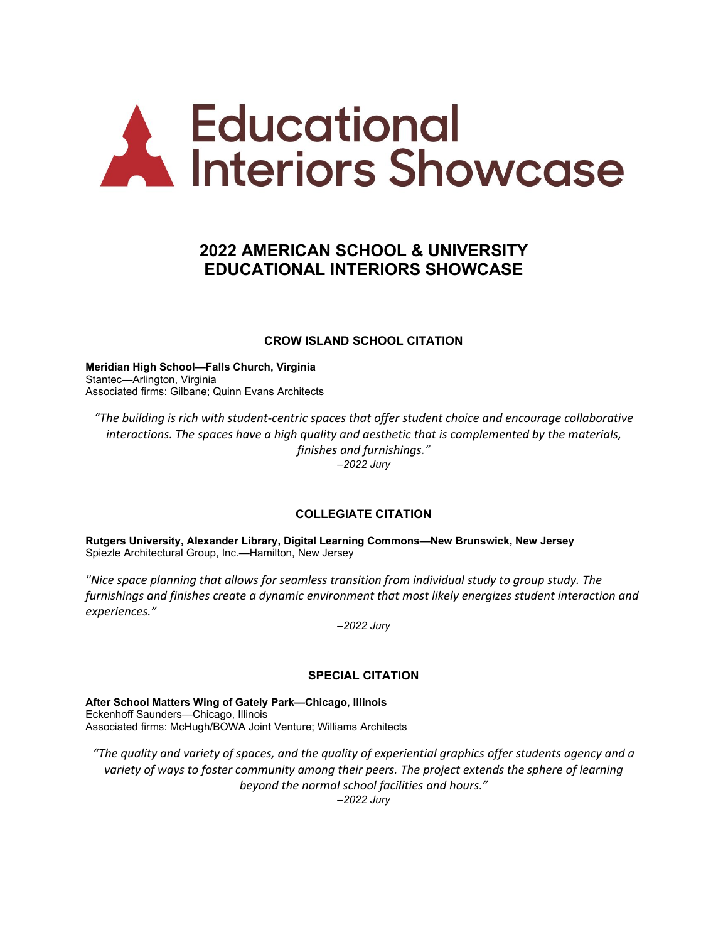# **A Educational**<br>
Interiors Showcase

# **2022 AMERICAN SCHOOL & UNIVERSITY EDUCATIONAL INTERIORS SHOWCASE**

# **CROW ISLAND SCHOOL CITATION**

**Meridian High School—Falls Church, Virginia** Stantec—Arlington, Virginia Associated firms: Gilbane; Quinn Evans Architects

*"The building is rich with student-centric spaces that offer student choice and encourage collaborative interactions. The spaces have a high quality and aesthetic that is complemented by the materials, finishes and furnishings." –2022 Jury*

# **COLLEGIATE CITATION**

**Rutgers University, Alexander Library, Digital Learning Commons—New Brunswick, New Jersey** Spiezle Architectural Group, Inc.—Hamilton, New Jersey

*"Nice space planning that allows for seamless transition from individual study to group study. The furnishings and finishes create a dynamic environment that most likely energizes student interaction and experiences."*

*–2022 Jury*

# **SPECIAL CITATION**

**After School Matters Wing of Gately Park—Chicago, Illinois** Eckenhoff Saunders—Chicago, Illinois Associated firms: McHugh/BOWA Joint Venture; Williams Architects

*"The quality and variety of spaces, and the quality of experiential graphics offer students agency and a variety of ways to foster community among their peers. The project extends the sphere of learning beyond the normal school facilities and hours." –2022 Jury*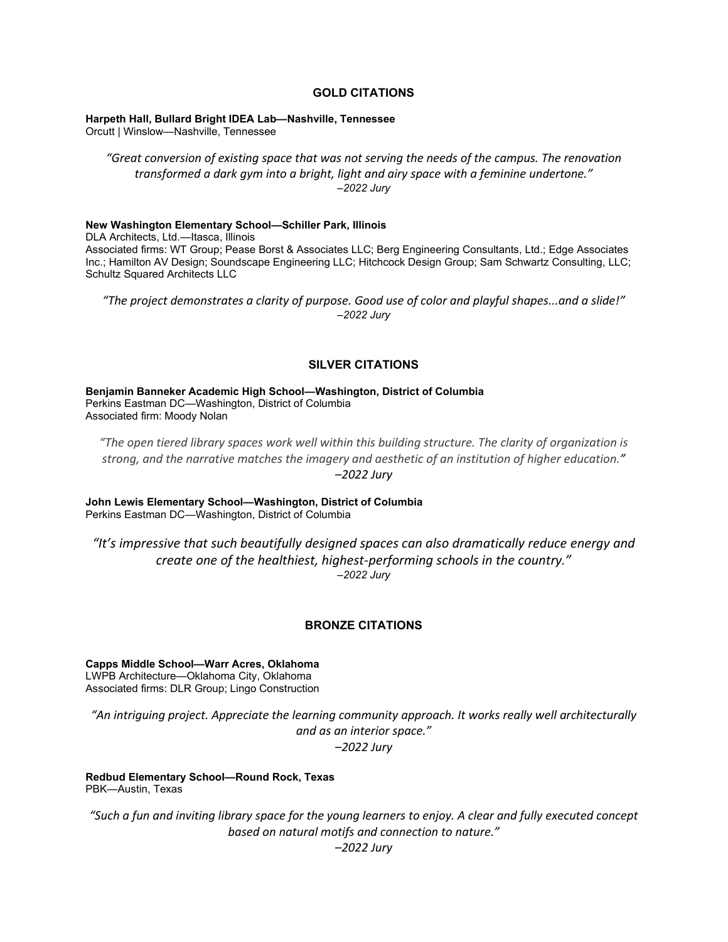#### **GOLD CITATIONS**

**Harpeth Hall, Bullard Bright IDEA Lab—Nashville, Tennessee**

Orcutt | Winslow—Nashville, Tennessee

*"Great conversion of existing space that was not serving the needs of the campus. The renovation transformed a dark gym into a bright, light and airy space with a feminine undertone." –2022 Jury*

#### **New Washington Elementary School—Schiller Park, Illinois**

DLA Architects, Ltd.—Itasca, Illinois Associated firms: WT Group; Pease Borst & Associates LLC; Berg Engineering Consultants, Ltd.; Edge Associates Inc.; Hamilton AV Design; Soundscape Engineering LLC; Hitchcock Design Group; Sam Schwartz Consulting, LLC; Schultz Squared Architects LLC

*"The project demonstrates a clarity of purpose. Good use of color and playful shapes...and a slide!" –2022 Jury*

#### **SILVER CITATIONS**

**Benjamin Banneker Academic High School—Washington, District of Columbia** Perkins Eastman DC—Washington, District of Columbia Associated firm: Moody Nolan

*"The open tiered library spaces work well within this building structure. The clarity of organization is strong, and the narrative matches the imagery and aesthetic of an institution of higher education." –2022 Jury*

**John Lewis Elementary School—Washington, District of Columbia** Perkins Eastman DC—Washington, District of Columbia

*"It's impressive that such beautifully designed spaces can also dramatically reduce energy and create one of the healthiest, highest-performing schools in the country." –2022 Jury*

# **BRONZE CITATIONS**

**Capps Middle School—Warr Acres, Oklahoma** LWPB Architecture—Oklahoma City, Oklahoma Associated firms: DLR Group; Lingo Construction

*"An intriguing project. Appreciate the learning community approach. It works really well architecturally and as an interior space." –2022 Jury*

**Redbud Elementary School—Round Rock, Texas** PBK—Austin, Texas

*"Such a fun and inviting library space for the young learners to enjoy. A clear and fully executed concept based on natural motifs and connection to nature."*

*–2022 Jury*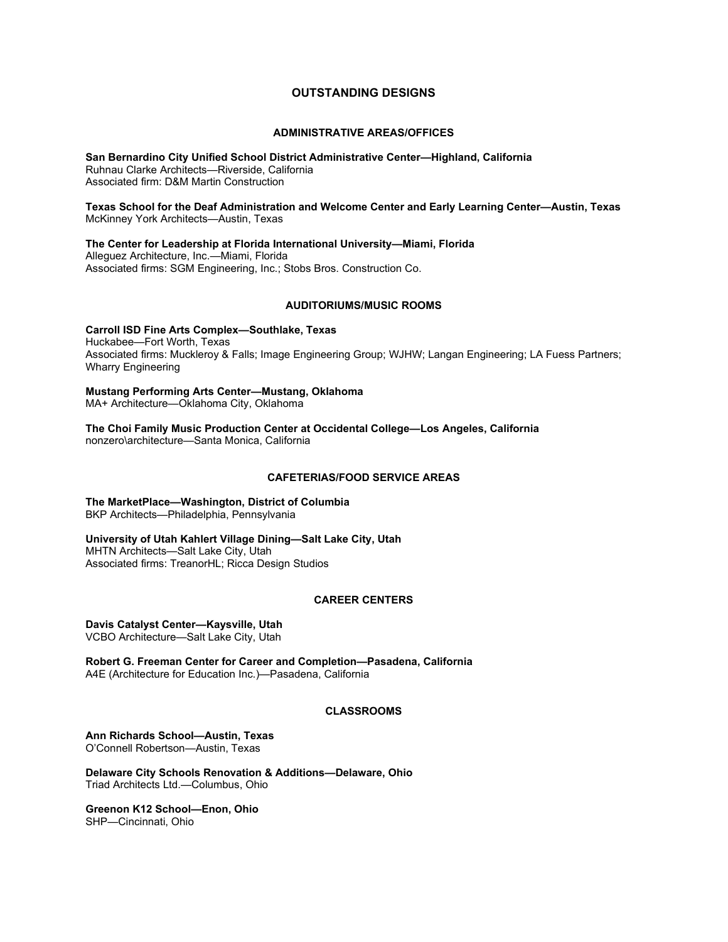# **OUTSTANDING DESIGNS**

#### **ADMINISTRATIVE AREAS/OFFICES**

**San Bernardino City Unified School District Administrative Center—Highland, California** Ruhnau Clarke Architects—Riverside, California Associated firm: D&M Martin Construction

**Texas School for the Deaf Administration and Welcome Center and Early Learning Center—Austin, Texas** McKinney York Architects—Austin, Texas

**The Center for Leadership at Florida International University—Miami, Florida** Alleguez Architecture, Inc.—Miami, Florida Associated firms: SGM Engineering, Inc.; Stobs Bros. Construction Co.

#### **AUDITORIUMS/MUSIC ROOMS**

**Carroll ISD Fine Arts Complex—Southlake, Texas** Huckabee—Fort Worth, Texas Associated firms: Muckleroy & Falls; Image Engineering Group; WJHW; Langan Engineering; LA Fuess Partners; Wharry Engineering

**Mustang Performing Arts Center—Mustang, Oklahoma** MA+ Architecture—Oklahoma City, Oklahoma

**The Choi Family Music Production Center at Occidental College—Los Angeles, California** nonzero\architecture—Santa Monica, California

#### **CAFETERIAS/FOOD SERVICE AREAS**

**The MarketPlace—Washington, District of Columbia** BKP Architects—Philadelphia, Pennsylvania

**University of Utah Kahlert Village Dining—Salt Lake City, Utah** MHTN Architects—Salt Lake City, Utah Associated firms: TreanorHL; Ricca Design Studios

#### **CAREER CENTERS**

**Davis Catalyst Center—Kaysville, Utah** VCBO Architecture—Salt Lake City, Utah

**Robert G. Freeman Center for Career and Completion—Pasadena, California** A4E (Architecture for Education Inc.)—Pasadena, California

#### **CLASSROOMS**

**Ann Richards School—Austin, Texas** O'Connell Robertson—Austin, Texas

**Delaware City Schools Renovation & Additions—Delaware, Ohio** Triad Architects Ltd.—Columbus, Ohio

**Greenon K12 School—Enon, Ohio** SHP—Cincinnati, Ohio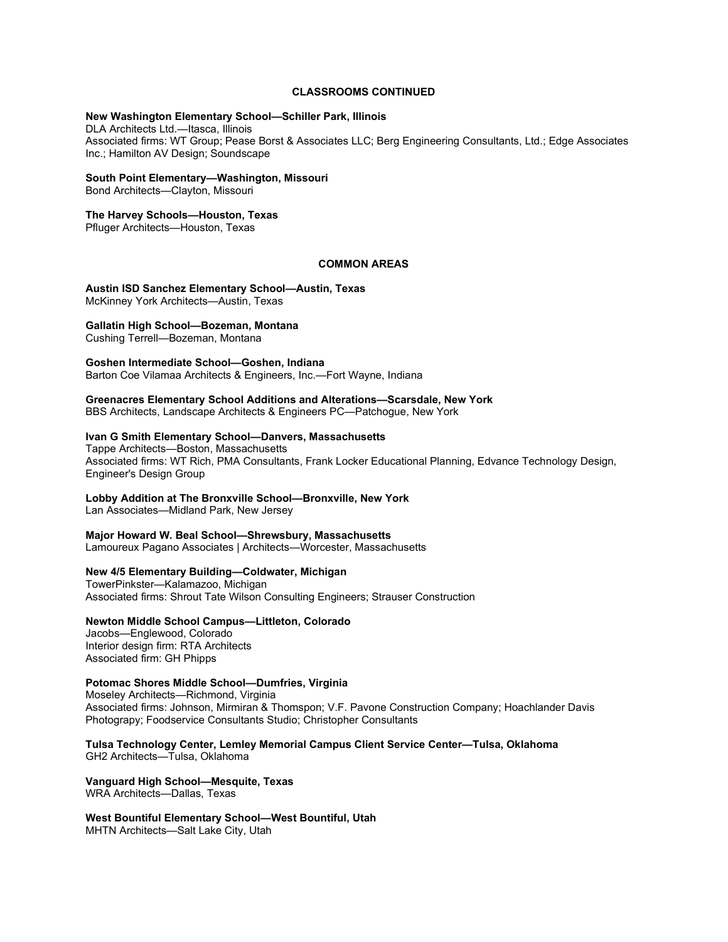#### **CLASSROOMS CONTINUED**

#### **New Washington Elementary School—Schiller Park, Illinois**

DLA Architects Ltd.—Itasca, Illinois Associated firms: WT Group; Pease Borst & Associates LLC; Berg Engineering Consultants, Ltd.; Edge Associates Inc.; Hamilton AV Design; Soundscape

#### **South Point Elementary—Washington, Missouri**

Bond Architects—Clayton, Missouri

#### **The Harvey Schools—Houston, Texas**

Pfluger Architects—Houston, Texas

#### **COMMON AREAS**

**Austin ISD Sanchez Elementary School—Austin, Texas** McKinney York Architects—Austin, Texas

#### **Gallatin High School—Bozeman, Montana**

Cushing Terrell—Bozeman, Montana

**Goshen Intermediate School—Goshen, Indiana**

Barton Coe Vilamaa Architects & Engineers, Inc.—Fort Wayne, Indiana

# **Greenacres Elementary School Additions and Alterations—Scarsdale, New York**

BBS Architects, Landscape Architects & Engineers PC—Patchogue, New York

#### **Ivan G Smith Elementary School—Danvers, Massachusetts**

Tappe Architects—Boston, Massachusetts Associated firms: WT Rich, PMA Consultants, Frank Locker Educational Planning, Edvance Technology Design, Engineer's Design Group

#### **Lobby Addition at The Bronxville School—Bronxville, New York**

Lan Associates—Midland Park, New Jersey

#### **Major Howard W. Beal School—Shrewsbury, Massachusetts**

Lamoureux Pagano Associates | Architects—Worcester, Massachusetts

#### **New 4/5 Elementary Building—Coldwater, Michigan**

TowerPinkster—Kalamazoo, Michigan Associated firms: Shrout Tate Wilson Consulting Engineers; Strauser Construction

#### **Newton Middle School Campus—Littleton, Colorado**

Jacobs—Englewood, Colorado Interior design firm: RTA Architects Associated firm: GH Phipps

#### **Potomac Shores Middle School—Dumfries, Virginia**

Moseley Architects—Richmond, Virginia Associated firms: Johnson, Mirmiran & Thomspon; V.F. Pavone Construction Company; Hoachlander Davis Photograpy; Foodservice Consultants Studio; Christopher Consultants

**Tulsa Technology Center, Lemley Memorial Campus Client Service Center—Tulsa, Oklahoma** GH2 Architects—Tulsa, Oklahoma

#### **Vanguard High School—Mesquite, Texas** WRA Architects—Dallas, Texas

**West Bountiful Elementary School—West Bountiful, Utah** MHTN Architects—Salt Lake City, Utah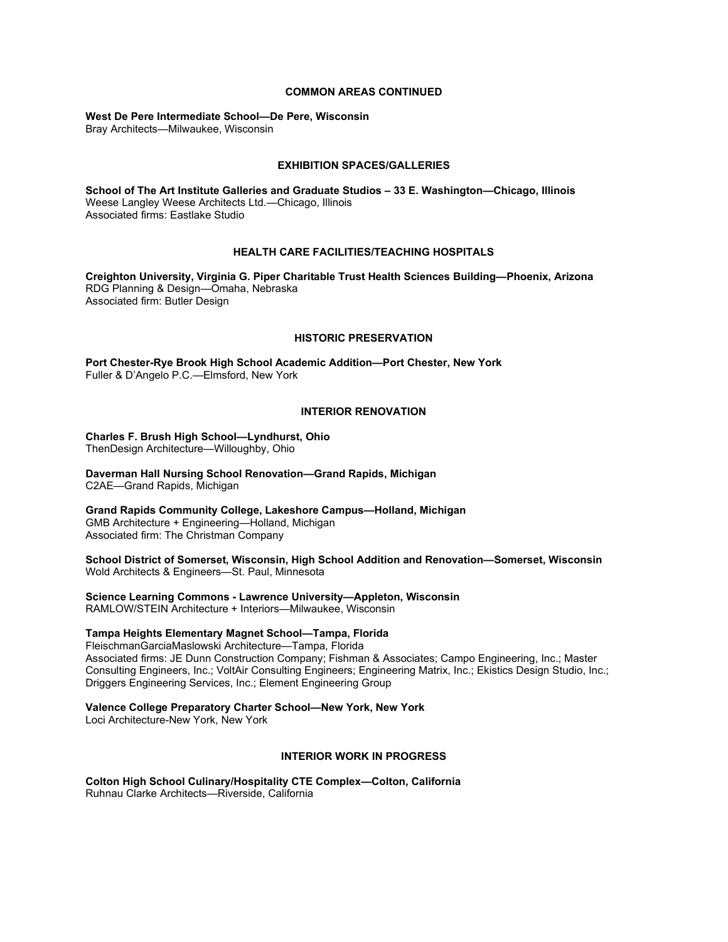#### **COMMON AREAS CONTINUED**

# **West De Pere Intermediate School—De Pere, Wisconsin**

Bray Architects—Milwaukee, Wisconsin

#### **EXHIBITION SPACES/GALLERIES**

**School of The Art Institute Galleries and Graduate Studios – 33 E. Washington—Chicago, Illinois** Weese Langley Weese Architects Ltd.—Chicago, Illinois Associated firms: Eastlake Studio

#### **HEALTH CARE FACILITIES/TEACHING HOSPITALS**

**Creighton University, Virginia G. Piper Charitable Trust Health Sciences Building—Phoenix, Arizona** RDG Planning & Design—Omaha, Nebraska Associated firm: Butler Design

#### **HISTORIC PRESERVATION**

**Port Chester-Rye Brook High School Academic Addition—Port Chester, New York** Fuller & D'Angelo P.C.—Elmsford, New York

#### **INTERIOR RENOVATION**

**Charles F. Brush High School—Lyndhurst, Ohio**  ThenDesign Architecture—Willoughby, Ohio

**Daverman Hall Nursing School Renovation—Grand Rapids, Michigan** C2AE—Grand Rapids, Michigan

**Grand Rapids Community College, Lakeshore Campus—Holland, Michigan** GMB Architecture + Engineering—Holland, Michigan Associated firm: The Christman Company

**School District of Somerset, Wisconsin, High School Addition and Renovation—Somerset, Wisconsin** Wold Architects & Engineers—St. Paul, Minnesota

**Science Learning Commons - Lawrence University—Appleton, Wisconsin** RAMLOW/STEIN Architecture + Interiors—Milwaukee, Wisconsin

#### **Tampa Heights Elementary Magnet School—Tampa, Florida**

FleischmanGarciaMaslowski Architecture—Tampa, Florida Associated firms: JE Dunn Construction Company; Fishman & Associates; Campo Engineering, Inc.; Master Consulting Engineers, Inc.; VoltAir Consulting Engineers; Engineering Matrix, Inc.; Ekistics Design Studio, Inc.; Driggers Engineering Services, Inc.; Element Engineering Group

#### **Valence College Preparatory Charter School—New York, New York**

Loci Architecture-New York, New York

#### **INTERIOR WORK IN PROGRESS**

**Colton High School Culinary/Hospitality CTE Complex—Colton, California** Ruhnau Clarke Architects—Riverside, California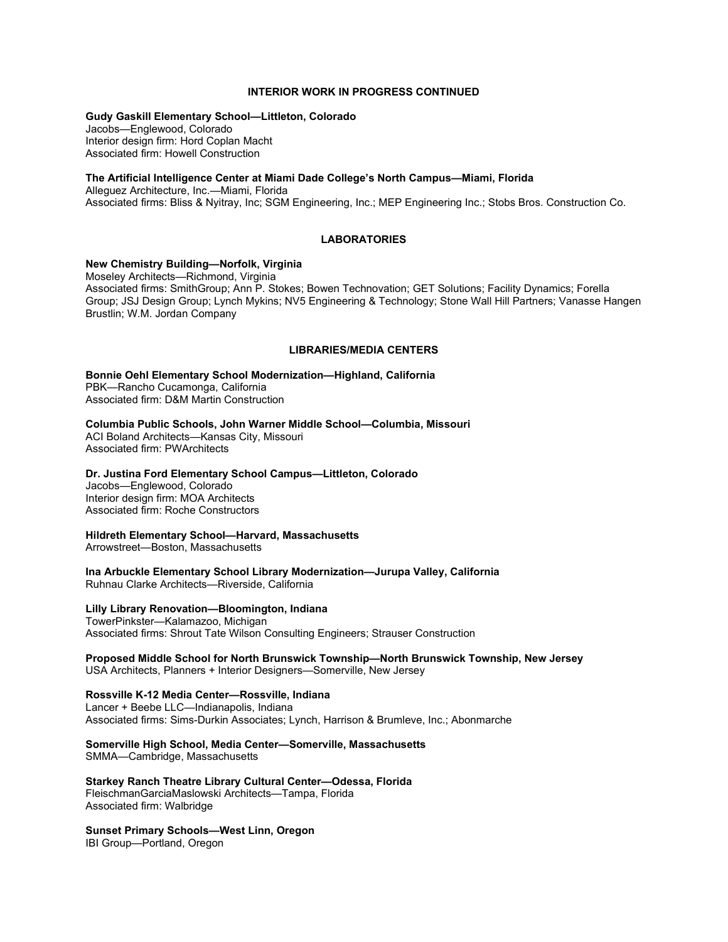#### **INTERIOR WORK IN PROGRESS CONTINUED**

#### **Gudy Gaskill Elementary School—Littleton, Colorado**

Jacobs—Englewood, Colorado Interior design firm: Hord Coplan Macht Associated firm: Howell Construction

#### **The Artificial Intelligence Center at Miami Dade College's North Campus—Miami, Florida**

Alleguez Architecture, Inc.—Miami, Florida Associated firms: Bliss & Nyitray, Inc; SGM Engineering, Inc.; MEP Engineering Inc.; Stobs Bros. Construction Co.

#### **LABORATORIES**

#### **New Chemistry Building—Norfolk, Virginia**

Moseley Architects—Richmond, Virginia Associated firms: SmithGroup; Ann P. Stokes; Bowen Technovation; GET Solutions; Facility Dynamics; Forella Group; JSJ Design Group; Lynch Mykins; NV5 Engineering & Technology; Stone Wall Hill Partners; Vanasse Hangen Brustlin; W.M. Jordan Company

#### **LIBRARIES/MEDIA CENTERS**

**Bonnie Oehl Elementary School Modernization—Highland, California** PBK—Rancho Cucamonga, California Associated firm: D&M Martin Construction

**Columbia Public Schools, John Warner Middle School—Columbia, Missouri**

ACI Boland Architects—Kansas City, Missouri Associated firm: PWArchitects

#### **Dr. Justina Ford Elementary School Campus—Littleton, Colorado**

Jacobs—Englewood, Colorado Interior design firm: MOA Architects Associated firm: Roche Constructors

**Hildreth Elementary School—Harvard, Massachusetts**

Arrowstreet—Boston, Massachusetts

**Ina Arbuckle Elementary School Library Modernization—Jurupa Valley, California** Ruhnau Clarke Architects—Riverside, California

#### **Lilly Library Renovation—Bloomington, Indiana**

TowerPinkster—Kalamazoo, Michigan Associated firms: Shrout Tate Wilson Consulting Engineers; Strauser Construction

# **Proposed Middle School for North Brunswick Township—North Brunswick Township, New Jersey**

USA Architects, Planners + Interior Designers—Somerville, New Jersey

#### **Rossville K-12 Media Center—Rossville, Indiana**

Lancer + Beebe LLC—Indianapolis, Indiana Associated firms: Sims-Durkin Associates; Lynch, Harrison & Brumleve, Inc.; Abonmarche

# **Somerville High School, Media Center—Somerville, Massachusetts**

SMMA—Cambridge, Massachusetts

**Starkey Ranch Theatre Library Cultural Center—Odessa, Florida** FleischmanGarciaMaslowski Architects—Tampa, Florida Associated firm: Walbridge

#### **Sunset Primary Schools—West Linn, Oregon**

IBI Group—Portland, Oregon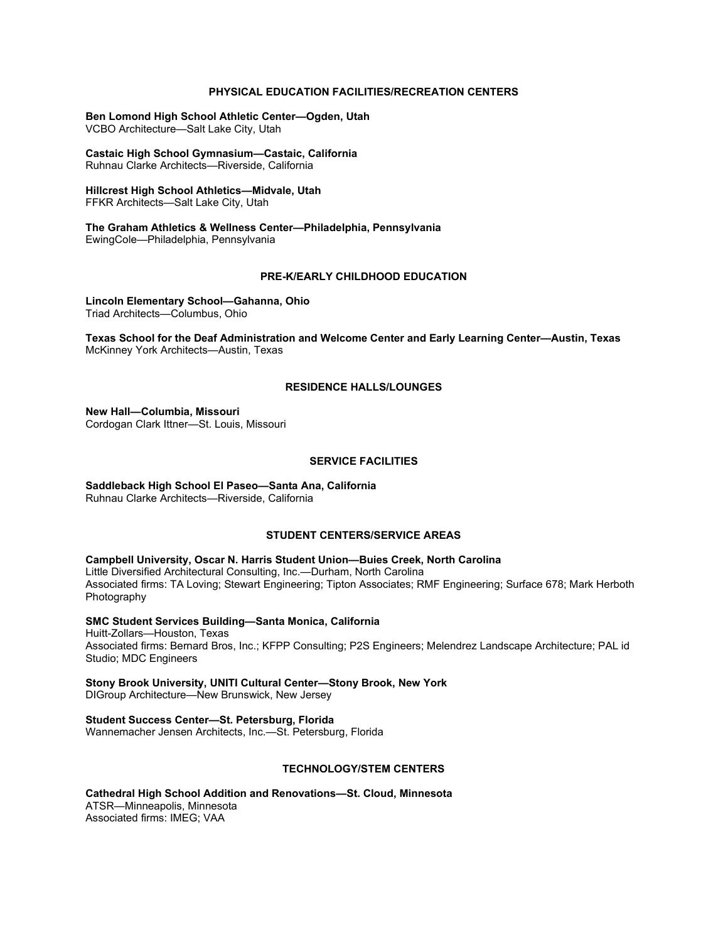#### **PHYSICAL EDUCATION FACILITIES/RECREATION CENTERS**

**Ben Lomond High School Athletic Center—Ogden, Utah** VCBO Architecture—Salt Lake City, Utah

**Castaic High School Gymnasium—Castaic, California** Ruhnau Clarke Architects—Riverside, California

**Hillcrest High School Athletics—Midvale, Utah** FFKR Architects—Salt Lake City, Utah

**The Graham Athletics & Wellness Center—Philadelphia, Pennsylvania** EwingCole—Philadelphia, Pennsylvania

#### **PRE-K/EARLY CHILDHOOD EDUCATION**

**Lincoln Elementary School—Gahanna, Ohio** Triad Architects—Columbus, Ohio

**Texas School for the Deaf Administration and Welcome Center and Early Learning Center—Austin, Texas** McKinney York Architects—Austin, Texas

#### **RESIDENCE HALLS/LOUNGES**

**New Hall—Columbia, Missouri** Cordogan Clark Ittner—St. Louis, Missouri

#### **SERVICE FACILITIES**

**Saddleback High School El Paseo—Santa Ana, California** Ruhnau Clarke Architects—Riverside, California

#### **STUDENT CENTERS/SERVICE AREAS**

**Campbell University, Oscar N. Harris Student Union—Buies Creek, North Carolina** Little Diversified Architectural Consulting, Inc.—Durham, North Carolina Associated firms: TA Loving; Stewart Engineering; Tipton Associates; RMF Engineering; Surface 678; Mark Herboth Photography

**SMC Student Services Building—Santa Monica, California** Huitt-Zollars—Houston, Texas Associated firms: Bernard Bros, Inc.; KFPP Consulting; P2S Engineers; Melendrez Landscape Architecture; PAL id Studio; MDC Engineers

**Stony Brook University, UNITI Cultural Center—Stony Brook, New York** DIGroup Architecture—New Brunswick, New Jersey

**Student Success Center—St. Petersburg, Florida**

Wannemacher Jensen Architects, Inc.—St. Petersburg, Florida

#### **TECHNOLOGY/STEM CENTERS**

**Cathedral High School Addition and Renovations—St. Cloud, Minnesota** ATSR—Minneapolis, Minnesota Associated firms: IMEG; VAA